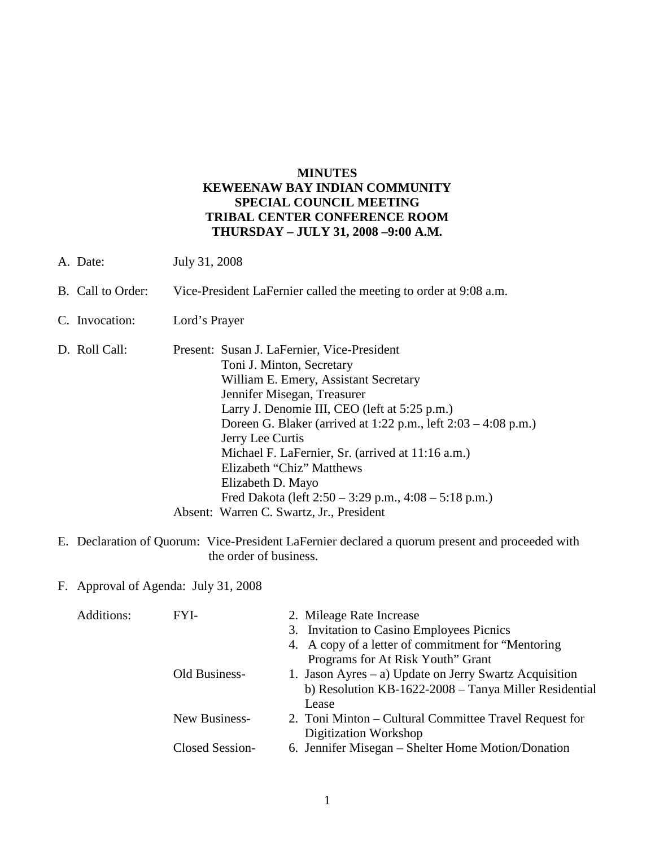#### **MINUTES KEWEENAW BAY INDIAN COMMUNITY SPECIAL COUNCIL MEETING TRIBAL CENTER CONFERENCE ROOM THURSDAY – JULY 31, 2008 –9:00 A.M.**

- A. Date: July 31, 2008
- B. Call to Order: Vice-President LaFernier called the meeting to order at 9:08 a.m.
- C. Invocation: Lord's Prayer
- D. Roll Call: Present: Susan J. LaFernier, Vice-President Toni J. Minton, Secretary William E. Emery, Assistant Secretary Jennifer Misegan, Treasurer Larry J. Denomie III, CEO (left at 5:25 p.m.) Doreen G. Blaker (arrived at 1:22 p.m., left 2:03 – 4:08 p.m.) Jerry Lee Curtis Michael F. LaFernier, Sr. (arrived at 11:16 a.m.) Elizabeth "Chiz" Matthews Elizabeth D. Mayo Fred Dakota (left 2:50 – 3:29 p.m., 4:08 – 5:18 p.m.) Absent: Warren C. Swartz, Jr., President
- E. Declaration of Quorum: Vice-President LaFernier declared a quorum present and proceeded with the order of business.
- F. Approval of Agenda: July 31, 2008

| Additions: | FYI-            | 2. Mileage Rate Increase                               |
|------------|-----------------|--------------------------------------------------------|
|            |                 | 3. Invitation to Casino Employees Picnics              |
|            |                 | 4. A copy of a letter of commitment for "Mentoring"    |
|            |                 | Programs for At Risk Youth" Grant                      |
|            | Old Business-   | 1. Jason Ayres – a) Update on Jerry Swartz Acquisition |
|            |                 | b) Resolution KB-1622-2008 - Tanya Miller Residential  |
|            |                 | Lease                                                  |
|            | New Business-   | 2. Toni Minton – Cultural Committee Travel Request for |
|            |                 | Digitization Workshop                                  |
|            | Closed Session- | 6. Jennifer Misegan – Shelter Home Motion/Donation     |
|            |                 |                                                        |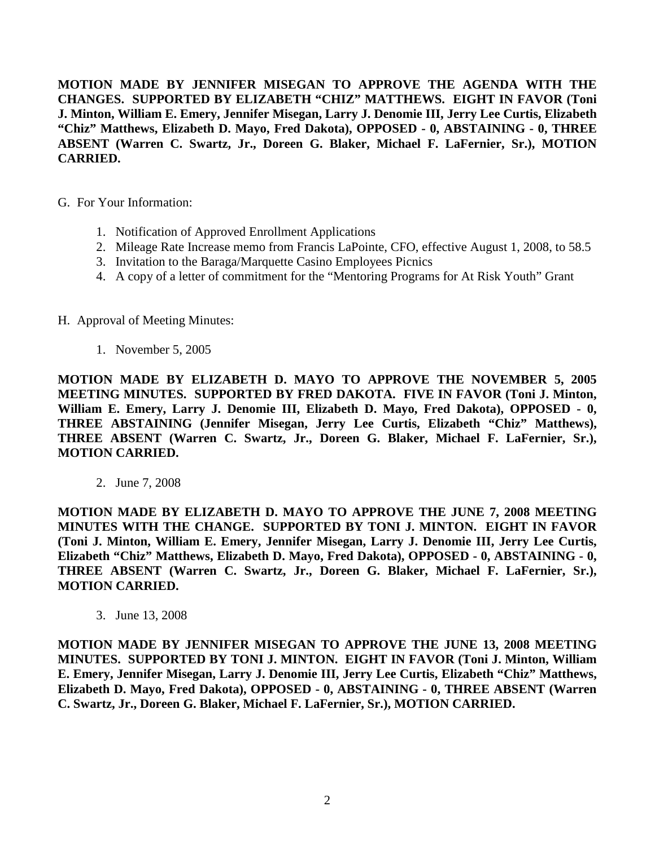**MOTION MADE BY JENNIFER MISEGAN TO APPROVE THE AGENDA WITH THE CHANGES. SUPPORTED BY ELIZABETH "CHIZ" MATTHEWS. EIGHT IN FAVOR (Toni J. Minton, William E. Emery, Jennifer Misegan, Larry J. Denomie III, Jerry Lee Curtis, Elizabeth "Chiz" Matthews, Elizabeth D. Mayo, Fred Dakota), OPPOSED - 0, ABSTAINING - 0, THREE ABSENT (Warren C. Swartz, Jr., Doreen G. Blaker, Michael F. LaFernier, Sr.), MOTION CARRIED.**

- G. For Your Information:
	- 1. Notification of Approved Enrollment Applications
	- 2. Mileage Rate Increase memo from Francis LaPointe, CFO, effective August 1, 2008, to 58.5
	- 3. Invitation to the Baraga/Marquette Casino Employees Picnics
	- 4. A copy of a letter of commitment for the "Mentoring Programs for At Risk Youth" Grant
- H. Approval of Meeting Minutes:
	- 1. November 5, 2005

**MOTION MADE BY ELIZABETH D. MAYO TO APPROVE THE NOVEMBER 5, 2005 MEETING MINUTES. SUPPORTED BY FRED DAKOTA. FIVE IN FAVOR (Toni J. Minton, William E. Emery, Larry J. Denomie III, Elizabeth D. Mayo, Fred Dakota), OPPOSED - 0, THREE ABSTAINING (Jennifer Misegan, Jerry Lee Curtis, Elizabeth "Chiz" Matthews), THREE ABSENT (Warren C. Swartz, Jr., Doreen G. Blaker, Michael F. LaFernier, Sr.), MOTION CARRIED.**

2. June 7, 2008

**MOTION MADE BY ELIZABETH D. MAYO TO APPROVE THE JUNE 7, 2008 MEETING MINUTES WITH THE CHANGE. SUPPORTED BY TONI J. MINTON. EIGHT IN FAVOR (Toni J. Minton, William E. Emery, Jennifer Misegan, Larry J. Denomie III, Jerry Lee Curtis, Elizabeth "Chiz" Matthews, Elizabeth D. Mayo, Fred Dakota), OPPOSED - 0, ABSTAINING - 0, THREE ABSENT (Warren C. Swartz, Jr., Doreen G. Blaker, Michael F. LaFernier, Sr.), MOTION CARRIED.**

3. June 13, 2008

**MOTION MADE BY JENNIFER MISEGAN TO APPROVE THE JUNE 13, 2008 MEETING MINUTES. SUPPORTED BY TONI J. MINTON. EIGHT IN FAVOR (Toni J. Minton, William E. Emery, Jennifer Misegan, Larry J. Denomie III, Jerry Lee Curtis, Elizabeth "Chiz" Matthews, Elizabeth D. Mayo, Fred Dakota), OPPOSED - 0, ABSTAINING - 0, THREE ABSENT (Warren C. Swartz, Jr., Doreen G. Blaker, Michael F. LaFernier, Sr.), MOTION CARRIED.**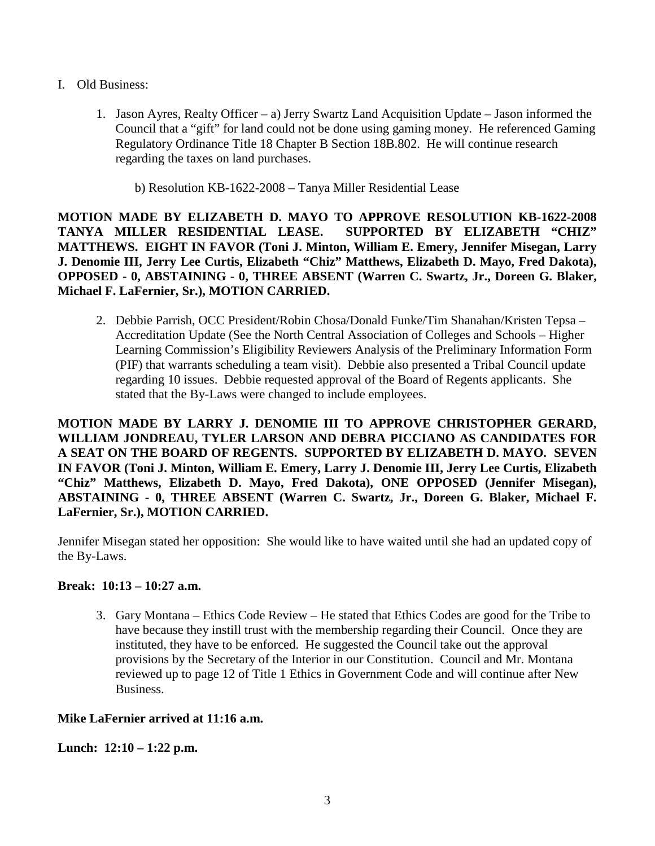- I. Old Business:
	- 1. Jason Ayres, Realty Officer a) Jerry Swartz Land Acquisition Update Jason informed the Council that a "gift" for land could not be done using gaming money. He referenced Gaming Regulatory Ordinance Title 18 Chapter B Section 18B.802. He will continue research regarding the taxes on land purchases.

b) Resolution KB-1622-2008 – Tanya Miller Residential Lease

**MOTION MADE BY ELIZABETH D. MAYO TO APPROVE RESOLUTION KB-1622-2008 TANYA MILLER RESIDENTIAL LEASE. SUPPORTED BY ELIZABETH "CHIZ" MATTHEWS. EIGHT IN FAVOR (Toni J. Minton, William E. Emery, Jennifer Misegan, Larry J. Denomie III, Jerry Lee Curtis, Elizabeth "Chiz" Matthews, Elizabeth D. Mayo, Fred Dakota), OPPOSED - 0, ABSTAINING - 0, THREE ABSENT (Warren C. Swartz, Jr., Doreen G. Blaker, Michael F. LaFernier, Sr.), MOTION CARRIED.**

2. Debbie Parrish, OCC President/Robin Chosa/Donald Funke/Tim Shanahan/Kristen Tepsa – Accreditation Update (See the North Central Association of Colleges and Schools – Higher Learning Commission's Eligibility Reviewers Analysis of the Preliminary Information Form (PIF) that warrants scheduling a team visit). Debbie also presented a Tribal Council update regarding 10 issues. Debbie requested approval of the Board of Regents applicants. She stated that the By-Laws were changed to include employees.

**MOTION MADE BY LARRY J. DENOMIE III TO APPROVE CHRISTOPHER GERARD, WILLIAM JONDREAU, TYLER LARSON AND DEBRA PICCIANO AS CANDIDATES FOR A SEAT ON THE BOARD OF REGENTS. SUPPORTED BY ELIZABETH D. MAYO. SEVEN IN FAVOR (Toni J. Minton, William E. Emery, Larry J. Denomie III, Jerry Lee Curtis, Elizabeth "Chiz" Matthews, Elizabeth D. Mayo, Fred Dakota), ONE OPPOSED (Jennifer Misegan), ABSTAINING - 0, THREE ABSENT (Warren C. Swartz, Jr., Doreen G. Blaker, Michael F. LaFernier, Sr.), MOTION CARRIED.**

Jennifer Misegan stated her opposition: She would like to have waited until she had an updated copy of the By-Laws.

# **Break: 10:13 – 10:27 a.m.**

3. Gary Montana – Ethics Code Review – He stated that Ethics Codes are good for the Tribe to have because they instill trust with the membership regarding their Council. Once they are instituted, they have to be enforced. He suggested the Council take out the approval provisions by the Secretary of the Interior in our Constitution. Council and Mr. Montana reviewed up to page 12 of Title 1 Ethics in Government Code and will continue after New Business.

# **Mike LaFernier arrived at 11:16 a.m.**

**Lunch: 12:10 – 1:22 p.m.**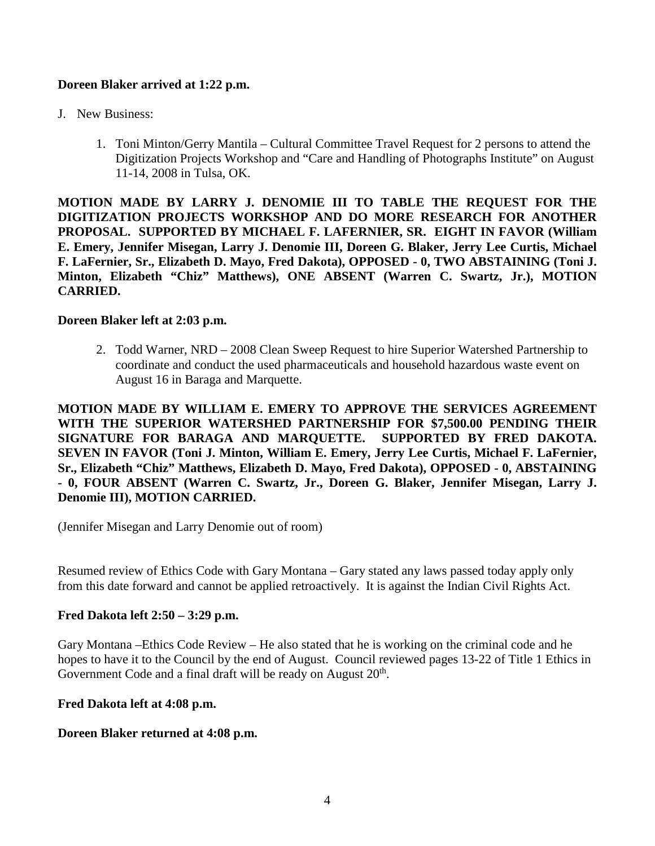# **Doreen Blaker arrived at 1:22 p.m.**

- J. New Business:
	- 1. Toni Minton/Gerry Mantila Cultural Committee Travel Request for 2 persons to attend the Digitization Projects Workshop and "Care and Handling of Photographs Institute" on August 11-14, 2008 in Tulsa, OK.

**MOTION MADE BY LARRY J. DENOMIE III TO TABLE THE REQUEST FOR THE DIGITIZATION PROJECTS WORKSHOP AND DO MORE RESEARCH FOR ANOTHER PROPOSAL. SUPPORTED BY MICHAEL F. LAFERNIER, SR. EIGHT IN FAVOR (William E. Emery, Jennifer Misegan, Larry J. Denomie III, Doreen G. Blaker, Jerry Lee Curtis, Michael F. LaFernier, Sr., Elizabeth D. Mayo, Fred Dakota), OPPOSED - 0, TWO ABSTAINING (Toni J. Minton, Elizabeth "Chiz" Matthews), ONE ABSENT (Warren C. Swartz, Jr.), MOTION CARRIED.**

#### **Doreen Blaker left at 2:03 p.m.**

2. Todd Warner, NRD – 2008 Clean Sweep Request to hire Superior Watershed Partnership to coordinate and conduct the used pharmaceuticals and household hazardous waste event on August 16 in Baraga and Marquette.

**MOTION MADE BY WILLIAM E. EMERY TO APPROVE THE SERVICES AGREEMENT WITH THE SUPERIOR WATERSHED PARTNERSHIP FOR \$7,500.00 PENDING THEIR SIGNATURE FOR BARAGA AND MARQUETTE. SUPPORTED BY FRED DAKOTA. SEVEN IN FAVOR (Toni J. Minton, William E. Emery, Jerry Lee Curtis, Michael F. LaFernier, Sr., Elizabeth "Chiz" Matthews, Elizabeth D. Mayo, Fred Dakota), OPPOSED - 0, ABSTAINING - 0, FOUR ABSENT (Warren C. Swartz, Jr., Doreen G. Blaker, Jennifer Misegan, Larry J. Denomie III), MOTION CARRIED.**

(Jennifer Misegan and Larry Denomie out of room)

Resumed review of Ethics Code with Gary Montana – Gary stated any laws passed today apply only from this date forward and cannot be applied retroactively. It is against the Indian Civil Rights Act.

# **Fred Dakota left 2:50 – 3:29 p.m.**

Gary Montana –Ethics Code Review – He also stated that he is working on the criminal code and he hopes to have it to the Council by the end of August. Council reviewed pages 13-22 of Title 1 Ethics in Government Code and a final draft will be ready on August  $20<sup>th</sup>$ .

#### **Fred Dakota left at 4:08 p.m.**

# **Doreen Blaker returned at 4:08 p.m.**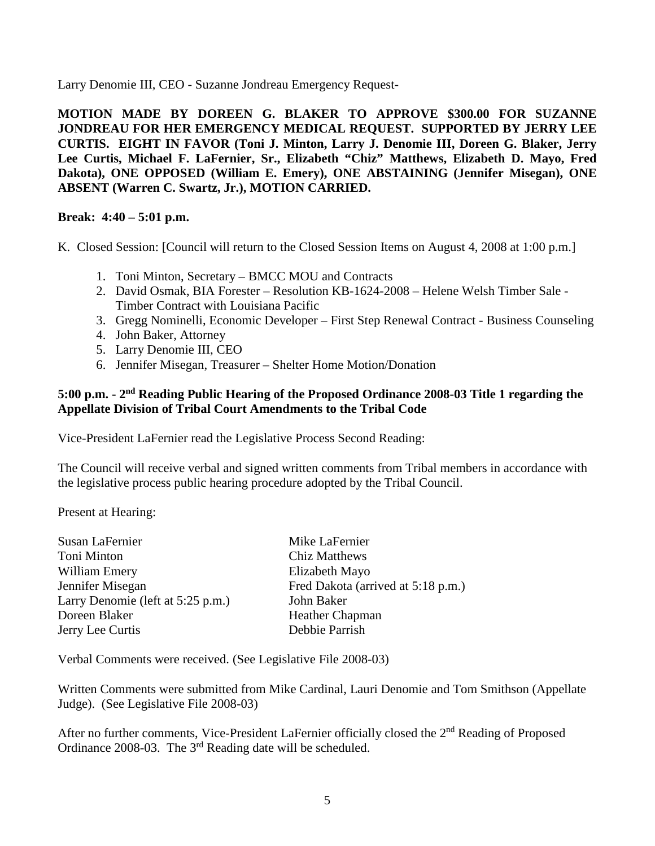Larry Denomie III, CEO - Suzanne Jondreau Emergency Request-

**MOTION MADE BY DOREEN G. BLAKER TO APPROVE \$300.00 FOR SUZANNE JONDREAU FOR HER EMERGENCY MEDICAL REQUEST. SUPPORTED BY JERRY LEE CURTIS. EIGHT IN FAVOR (Toni J. Minton, Larry J. Denomie III, Doreen G. Blaker, Jerry Lee Curtis, Michael F. LaFernier, Sr., Elizabeth "Chiz" Matthews, Elizabeth D. Mayo, Fred Dakota), ONE OPPOSED (William E. Emery), ONE ABSTAINING (Jennifer Misegan), ONE ABSENT (Warren C. Swartz, Jr.), MOTION CARRIED.**

# **Break: 4:40 – 5:01 p.m.**

K. Closed Session: [Council will return to the Closed Session Items on August 4, 2008 at 1:00 p.m.]

- 1. Toni Minton, Secretary BMCC MOU and Contracts
- 2. David Osmak, BIA Forester Resolution KB-1624-2008 Helene Welsh Timber Sale Timber Contract with Louisiana Pacific
- 3. Gregg Nominelli, Economic Developer First Step Renewal Contract Business Counseling
- 4. John Baker, Attorney
- 5. Larry Denomie III, CEO
- 6. Jennifer Misegan, Treasurer Shelter Home Motion/Donation

#### **5:00 p.m. - 2nd Reading Public Hearing of the Proposed Ordinance 2008-03 Title 1 regarding the Appellate Division of Tribal Court Amendments to the Tribal Code**

Vice-President LaFernier read the Legislative Process Second Reading:

The Council will receive verbal and signed written comments from Tribal members in accordance with the legislative process public hearing procedure adopted by the Tribal Council.

Present at Hearing:

| Susan LaFernier                   | Mike LaFernier                     |
|-----------------------------------|------------------------------------|
| Toni Minton                       | <b>Chiz Matthews</b>               |
| William Emery                     | Elizabeth Mayo                     |
| Jennifer Misegan                  | Fred Dakota (arrived at 5:18 p.m.) |
| Larry Denomie (left at 5:25 p.m.) | John Baker                         |
| Doreen Blaker                     | Heather Chapman                    |
| Jerry Lee Curtis                  | Debbie Parrish                     |
|                                   |                                    |

Verbal Comments were received. (See Legislative File 2008-03)

Written Comments were submitted from Mike Cardinal, Lauri Denomie and Tom Smithson (Appellate Judge). (See Legislative File 2008-03)

After no further comments, Vice-President LaFernier officially closed the 2<sup>nd</sup> Reading of Proposed Ordinance 2008-03. The 3<sup>rd</sup> Reading date will be scheduled.